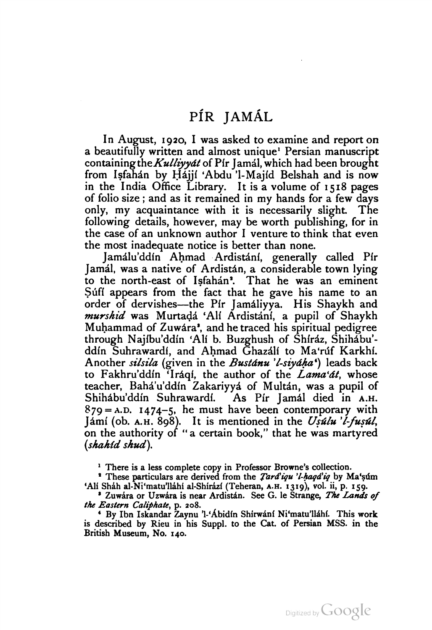In August, 1920, <sup>I</sup> was asked to examine and report on a beautifully written and almost unique' Persian manuscript containing the Kulliyyat of Pir Jamal, which had been brought from Isfahán by Hájjí 'Abdu 'l-Majíd Belshah and is now in the India Office Library. It is a volume of 15 18 pages of folio size ; and as it remained in my hands for <sup>a</sup> few days only, my acquaintance with it is necessarily slight. The following details, however, may be worth publishing, for in the case of an unknown author <sup>I</sup> venture to think that even the most inadequate notice is better than none.

Jamálu'ddín Ahmad Ardistání, generally called Pír Jamal, was a native of Ardistan, a considerable town lying to the north-east of Isfahan'. That he was an eminent Sufi appears from the fact that he gave his name to an order of dervishes—the Pfr Jamaliyya. His Shaykh and order of dervishes—the Pír Jamáliyya. His Shaykh and *murshid* was Murtadá 'Alí Ardistání, a pupil of Shaykh Muhammad of Zuwara", and he traced his spiritual pedigree through Najíbu'ddín 'Alí b. Buzghush of Shíráz, Shihábu'ddín Suhrawardí, and Ahmad Ghazálí to Ma'rúf Karkhí. Another silsila (given in the Bustanu 'l-siyaha') leads back to Fakhru'ddin 'Iraqi, the author of the  $Lama'at$ , whose teacher, Baha'u'ddfn Zakariyya of Multan, was a pupil of Shihabu'ddin Suhrawardi. As Pir Jamal died in A.H.  $879 = A.D.$  1474-5, he must have been contemporary with Jámí (ob. A.H. 898). It is mentioned in the Usulu 'l-fusul, on the authority of "a certain book," that he was martyred (shahid shud).

<sup>1</sup> There is a less complete copy in Professor Browne's collection.

\* These particulars are derived from the *Tard'iqu 'l-haqd'iq* by Ma'süm 'Ali Shah al-Ni'matu'llahi al-Shirazi (Teheran, A.H. 1319), vol. ii, p. 159.

<sup>3</sup> Zuwara or Uzwara is near Ardistan. See G. le Strange, The Lands of the Eastern Caliphate, p. 208.

<sup>4</sup> By Ibn Iskandar Zaynu 'l-'Abidín Shirwani Ni'matu'llahi. This work is described by Rieu in his Suppl. to the Cat. of Persian MSS. in the British Museum, No. 140.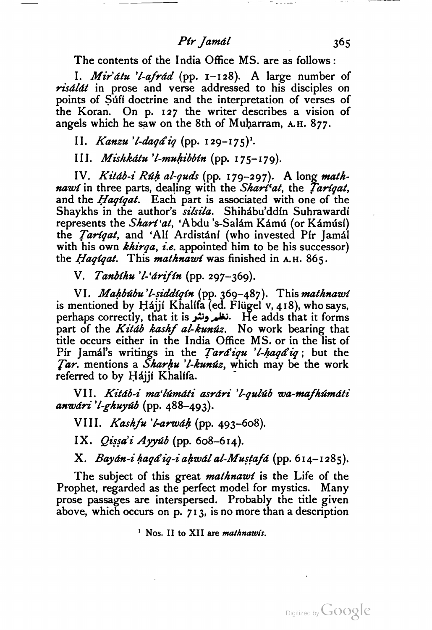## Pir Jamál 365

The contents of the India Office MS. are as follows :

I. *Mir'atu 'l-afrad* (pp.  $1-128$ ). A large number of risálát in prose and verse addressed to his disciples on points of Sufi doctrine and the interpretation of verses of the Koran. On p. 127 the writer describes a vision of angels which he saw on the 8th of Muharram, A.H. 877.

II. Kanzu 'l-daqá' iq (pp. 129-175)'.

III. Mishkdtu 'l-muhibbin (pp. 175-179).

IV. Kitáb-i Rúh al-quds (pp. 179-297). A long mathnawi in three parts, dealing with the Shari'at, the Tarigat, and the *Haqiqat*. Each part is associated with one of the Shaykhs in the author's *silsila*. Shihabu'ddin Suhrawardi represents the *Shart'at*, 'Abdu 's-Salám Kámú (or Kámúsí) the Tariqat, and 'Ali Ardistani (who invested Pir Jamal with his own  $khirqa$ , *i.e.* appointed him to be his successor) the *Haqiqat*. This *mathnawi* was finished in A.H. 865.

V. Tanbíhu 'l-'árifín (pp. 297-369).

VI. Mahbúbu'l-siddíqín (pp. 369-487). This mathnawi is mentioned by Hajji Khalifa (ed. Flügel v, 418), who says, perhaps correctly, that it is is it is it is  $\mathbf{H}$ e adds that it forms part of the Kitáb kashf al-kunúz. No work bearing that title occurs either in the India Office MS. or in the list of Pir Jamál's writings in the *Tará'iqu 'l-haqá'iq* ; but the Tar. mentions a *Sharhu 'l-kunúz*, which may be the work referred to by Hajji Khalifa.

VII. Kitdb-i ma'ltimdti asrdri 'l-qultib wa-mafhtimdti  $a$ nwári 'l-ghuyúb (pp. 488–493).

VIII. Kashfu 'l-arwáh (pp. 493–608).

IX.  $Qi$ ssa'i Ayyúb (pp. 608-614).

X. Bayán-i haqá'iq-i ahwál al-Mustafá (pp. 614-1285).

The subject of this great *mathnawt* is the Life of the Prophet, regarded as the perfect model for mystics. Many prose passages are interspersed. Probably the title given above, which occurs on p. 71 3, is no more than a description

<sup>1</sup> Nos. II to XII are *mathnawis*.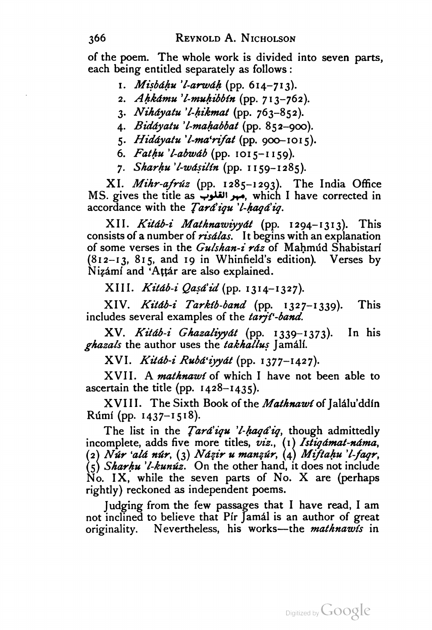of the poem. The whole work is divided into seven parts, each being entitled separately as follows :

- 1. *Misbáhu 'l-arwáh* (pp. 614–713).
- 2. Ahkámu 'l-muhibbín (pp. 713-762).
- 3. Nihdyatu 'l-hikmat (pp. 763-852).
- 4. Biddyatu 'l-mahabbat (pp. 852-900).
- 5. Hiddyatu 'l-ma'rifat (pp. 900-1015).
- 6. Fathu 'l-abwáb (pp. 1015-1159).
- 7. Sharhu 'l-wásilín (pp. 1159-1285).

XI. Mihr-afrúz (pp. 1285-1293). The India Office MS. gives the title as مبر القلوب which I have corrected in accordance with the Tard'iqu 'l-haqd'iq.

XII. Kitáb-i Mathnawiyyát (pp. 1294-1313). This consists of a number of *risalas*. It begins with an explanation of some verses in the Gulshan-i ráz of Mahmúd Shabistarí (812-13, 815, and 19 in Whinfield's edition). Verses by Nizámí and 'Attár are also explained.

XIII. Kitáb-i Qasá'id (pp. 1314-1327).

XIV. Kitdb-i Tarkib-band (pp. 1327-1339). This includes several examples of the tarjt-band.

XV. Kitdb-i Ghazaliyydt (pp. 1339-1373). In his ghazals the author uses the takhallus Jamali.

XVI. Kitdb-i Rubd'iyydt (pp. 1377-1427).

XVII. A mathnawt of which I have not been able to ascertain the title (pp.  $1428 - 1435$ ).

XVIII. The Sixth Book of the Mathnawi of Jalalu'ddin  $Rúmí$  (pp. 1437–1518).

The list in the *Tard'iqu 'l-haqd'iq*, though admittedly incomplete, adds five more titles, viz., (1) Istiqamat-nama, (2) Nur 'alá núr, (3) Názir u manzúr, (4) Miftahu 'l-faqr,  $(5)$  Sharhu 'l-kunuz. On the other hand, it does not include  $\overline{No}$ . IX, while the seven parts of No. X are (perhaps rightly) reckoned as independent poems.

not inclined to believe that Pir Jamal is an author of great<br>originality. Nevertheless, his works—the *mathnawis* in Judging from the few passages that I have read, I am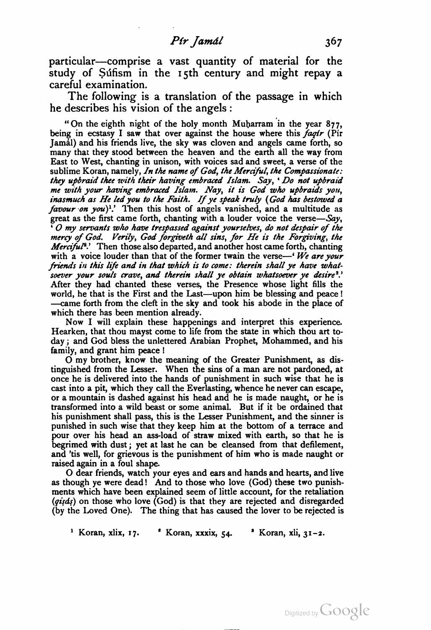particular—comprise <sup>a</sup> vast quantity of material for the study of Sufism in the 15th century and might repay a careful examination.

The following is a translation of the passage in which he describes his vision of the angels :

"On the eighth night of the holy month Muharram in the year 877, being in ecstasy I saw that over against the house where this faqtr (Pir Jamal) and his friends live, the sky was cloven and angels came forth, so many that they stood between the heaven and the earth all the way from East to West, chanting in unison, with voices sad and sweet, a verse of the sublime Koran, namely, In the name of God, the Merciful, the Compassionate: they upbraid thee with their having embraced Islam. Say, ' Do not upbraid me with your having embraced Islam. Nay, it is God who upbraids you, inasmuch as He led you to the Faith. If ye speak truly (God has bestowed a *favour on you*)<sup>1</sup>.' Then this host of angels vanished, and a multitude as great as the first came forth, chanting with a louder voice the verse—Say, '  $O$  my servants who have trespassed against yourselves, do not despair of the mercy of God. Verily, God forgiveth all sins, for He is the Forgiving, the *Merciful*<sup>3</sup>. Then those also departed, and another host came forth, chanting with a voice louder than that of the former twain the verse—' We are your friends in this life and in that which is to come: therein shall ye have what soever your souls crave, and therein shall ye obtain whatsoever ye desire<sup>3</sup>.' After they had chanted these verses, the Presence whose light fills the world, he that is the First and the Last—upon him be blessing and peace ! world, he that is the First and the Last—upon him be blessing and peace!<br>—came forth from the cleft in the sky and took his abode in the place of which there has been mention already.

Now <sup>I</sup> will explain these happenings and interpret this experience. Hearken, that thou mayst come to life from the state in which thou art to day ; and God bless the unlettered Arabian Prophet, Mohammed, and his family, and grant him peace !

O my brother, know the meaning of the Greater Punishment, as dis tinguished from the Lesser. When the sins of a man are not pardoned, at once he is delivered into the hands of punishment in such wise that he is cast into a pit, which they call the Everlasting, whence he never can escape, or a mountain is dashed against his head and he is made naught, or he is transformed into a wild beast or some animal. But if it be ordained that his punishment shall pass, this is the Lesser Punishment, and the sinner is punished in such wise that they keep him at the bottom of a terrace and pour over his head an ass-load of straw mixed with earth, so that he is begrimed with dust ; yet at last he can be cleansed from that defilement, and 'tis well, for grievous is the punishment of him who is made naught or raised again in <sup>a</sup> foul shape. O dear friends, watch your eyes and ears and hands and hearts, and live

as though ye were dead! And to those who love (God) these two punishments which have been explained seem of little account, for the retaliation  $(qi, ds)$  on those who love (God) is that they are rejected and disregarded (by the Loved One). The thing that has caused the lover to be rejected is

<sup>1</sup> Koran, xlix, 17.  $\bullet$  Koran, xxxix, 54.  $\bullet$  Koran, xli, 31-2.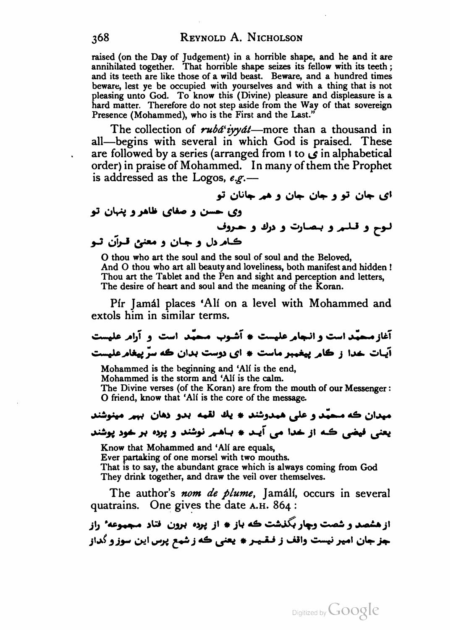raised (on the Day of Judgement) in <sup>a</sup> horrible shape, and he and it are annihilated together. That horrible shape seizes its fellow with its teeth ; and its teeth are like those of <sup>a</sup> wild beast. Beware, and <sup>a</sup> hundred times beware, lest ye be occupied with yourselves and with <sup>a</sup> thing that is not pleasing unto God. To know this (Divine) pleasure and displeasure is a hard matter. Therefore do not step aside from the Way of that sovereign Presence (Mohammed), who is the First and the Last."

The collection of  $rubd$  iyy  $dt$ —more than a thousand in all—begins with several in which God is praised. These are followed by a series (arranged from  $\mathfrak{t}$  to  $\mathfrak{g}$  in alphabetical order) in praise of Mohammed. In many of them the Prophet is addressed as the Logos,  $e.g.$ —

ای جان تو و جان جان و هم جانان تو

وی حسن و صفای ظاهر و پنهان تو<br>لـوح و قـلــهر و بــصــارت و درك و حــــروف<br>كــاهر دل و حــــان و معنــين قـــران تـــو

<sup>O</sup> thou who art the souland the soul of soul and the Beloved, And <sup>O</sup> thou who art all beauty and loveliness, both manifest and hidden ! Thou art the Tablet and the Pen and sight and perception and letters, The desire of heart and soul and the meaning of the Koran.

Pír Jamal places 'Alí on <sup>a</sup> level with Mohammed and extols him in similar terms.

آغاز محمد است و انجام علیست \* آشوب محمد است و آرام علیست آیات خدا ز كام پیغمبر ماست \* ای دوست بدان که سر پیغام علیست

Mohammed is the beginning and 'Ali is the end,

Mohammed is the storm and 'Ali is the calm.

The Divine verses (of the Koran) are from the mouth of our Messenger: <sup>O</sup> friend, know that 'Ali is the core of the message.

## میدان که محمد و علی همدوشند \* يك لقمه در دهان بهم مینوشند یعنی فیضی که از خدا می آید \* باهم نوشند و پرده بر خود پوشند

Know that Mohammed and 'Alí are equals,

Ever partaking of one morsel with two mouths.

That is to say, the abundant grace which is always coming from God They drink together, and draw the veil over themselves.

The author's nom de plume, Jamálí, occurs in several quatrains. One gives the date A.H. 864:

از هشصد و شصت وچار بگذشت که باز \* از پرده برون فتاد مجموعه راز جز جان امیر نیست واقف ز فقیر \* يعنی كه ز شمع پرس این سوز و گداز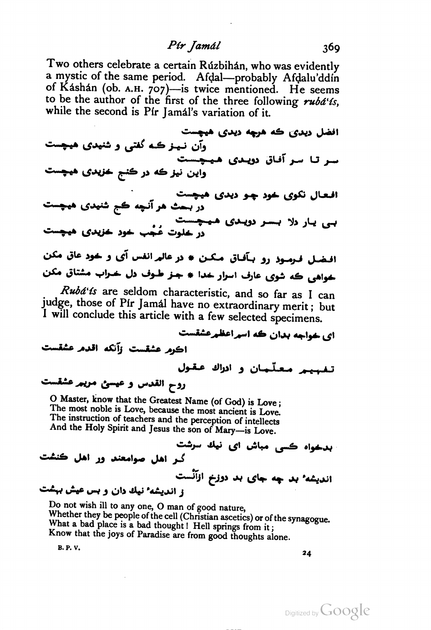## Pir Jamál 369

Two others celebrate a certain Rúzbihán, who was evidently<br>a mystic of the same period. Afdal—probably, Afdalu'ddin a mystic of the same period. Afdal—probably Afdalu'ddin<br>of Káshán (ob. A.H. 707)—is twice mentioned. He seems to be the author of the first of the three following  $\mathbf{r} u \mathbf{b} \mathbf{d}' \mathbf{f} s$ , while the second is Pír Jamál's variation of it.

افضل ديدي كه هرچه ديدي هيچست وآن نمیز کـه گفتي و شنهدي هيچست سر تا سر آفاق دویدی هیچست واين نيز که در کنج خزيدي هيچست افعال نکوی خود چو دیدی هیچست در بست هر آنچه کج شنیدی هیچست ر ہست مرمیہ ہے۔<br>بی یار دلا بسر دویدی ہیچست<br>در خاوت عُجْب خود خزیدی ہیچست افـضـل فـرمـوذ رو بـأفـاق مـكـن # در عالمرانفس آي و خود عاق مكن خواهی که شوی عارف اسرار خدا # جـز طـوف دل خــراب مشتاق مکن<br>*Rubá'ís* are seldom characteristic, and so far as I can

judge, those of Pir Jamal have no extraordinary merit ; but <sup>I</sup> will conclude this article with a few selected specimens.

ای خواجه بدان که اسراعظرعشقست اكرم عشقست وآنكه اقدم عشقست تفهيم معلّمان و ادراك عقول روح القدس و عيسى مريير عشقست<br>O Master, know that the Greatest Name (of God) is Love ;

The most noble is Love, because the most ancient is Love. The instruction of teachers and the perception of intellects And the Holy Spirit and Jesus the son of Mary—is Love.

بدخواه ڪسي مباش اي نيك سرشت گیر اهل صوامعند ور اهل ڪنشت اندیشه ٔ بد چه جای بد دوزخ ازآنست<br>ز اندیشه نیك دان و بس عیش بهشت

Do not wish ill to any one, <sup>O</sup> man of good nature, Whether they be people of the cell (Christian ascetics) or of the synagogue. What <sup>a</sup> bad place is <sup>a</sup> bad thought ! Hell springs from it ; Know that the joys of Paradise are from good thoughts alone.

 $\mathbf{B}.\mathbf{P}.\mathbf{V}.\mathbf{V}$